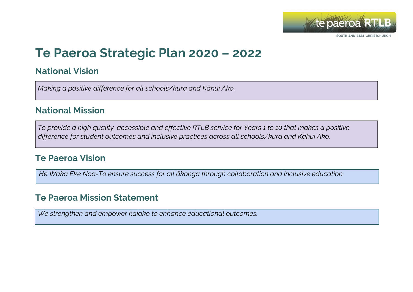

# **Te Paeroa Strategic Plan 2020 – 2022**

### **National Vision**

*Making a positive difference for all schools/kura and Kāhui Ako.*

#### **National Mission**

To provide a high quality, accessible and effective RTLB service for Years 1 to 10 that makes a positive *difference for student outcomes and inclusive practices across all schools/kura and Kāhui Ako.*

### **Te Paeroa Vision**

*He Waka Eke Noa-To ensure success for all ākonga through collaboration and inclusive education.*

## **Te Paeroa Mission Statement**

*We strengthen and empower kaiako to enhance educational outcomes.*